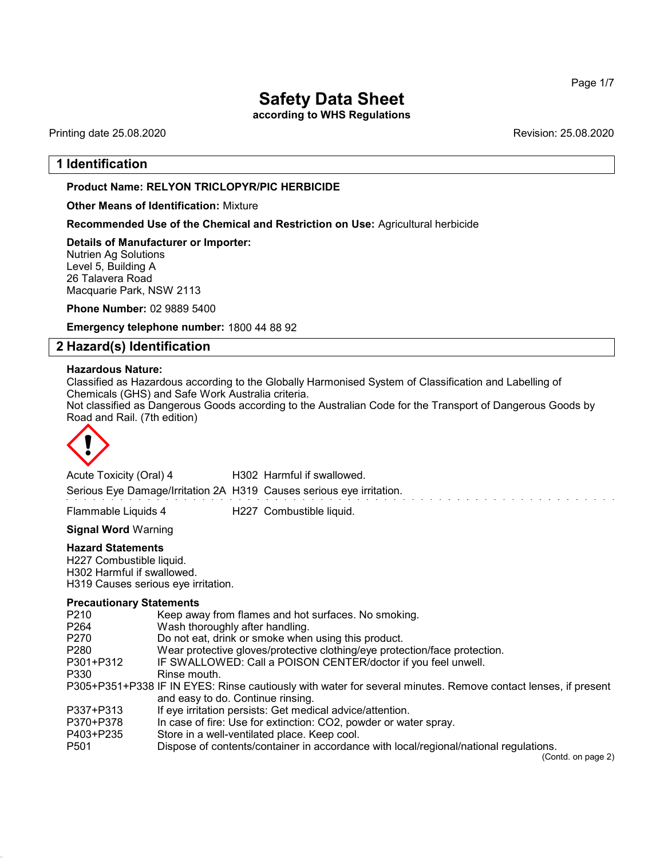according to WHS Regulations

Printing date 25.08.2020 Revision: 25.08.2020

# 1 Identification

### Product Name: **RELYON** TRICLOPYR/PIC HERBICIDE

### Other Means of Identification: Mixture

Recommended Use of the Chemical and Restriction on Use: Agricultural herbicide

Details of Manufacturer or Importer: Nutrien Ag Solutions Level 5, Building A 26 Talavera Road

Macquarie Park, NSW 2113

Phone Number: 02 9889 5400

Emergency telephone number: 1800 44 88 92

# 2 Hazard(s) Identification

### Hazardous Nature:

Classified as Hazardous according to the Globally Harmonised System of Classification and Labelling of Chemicals (GHS) and Safe Work Australia criteria.

Not classified as Dangerous Goods according to the Australian Code for the Transport of Dangerous Goods by Road and Rail. (7th edition)



Acute Toxicity (Oral) 4 H302 Harmful if swallowed. Serious Eye Damage/Irritation 2A H319 Causes serious eye irritation.

Flammable Liquids 4 H227 Combustible liquid.

Signal Word Warning

### Hazard Statements

H227 Combustible liquid. H302 Harmful if swallowed. H319 Causes serious eye irritation.

### Precautionary Statements

| P <sub>210</sub> | Keep away from flames and hot surfaces. No smoking.                                                           |
|------------------|---------------------------------------------------------------------------------------------------------------|
| P <sub>264</sub> | Wash thoroughly after handling.                                                                               |
| P <sub>270</sub> | Do not eat, drink or smoke when using this product.                                                           |
| P <sub>280</sub> | Wear protective gloves/protective clothing/eye protection/face protection.                                    |
| P301+P312        | IF SWALLOWED: Call a POISON CENTER/doctor if you feel unwell.                                                 |
| P330             | Rinse mouth.                                                                                                  |
|                  | P305+P351+P338 IF IN EYES: Rinse cautiously with water for several minutes. Remove contact lenses, if present |
|                  | and easy to do. Continue rinsing.                                                                             |
| P337+P313        | If eye irritation persists: Get medical advice/attention.                                                     |
| P370+P378        | In case of fire: Use for extinction: CO2, powder or water spray.                                              |
| P403+P235        | Store in a well-ventilated place. Keep cool.                                                                  |
| P <sub>501</sub> | Dispose of contents/container in accordance with local/regional/national regulations.                         |
|                  | (Contd. on page 2)                                                                                            |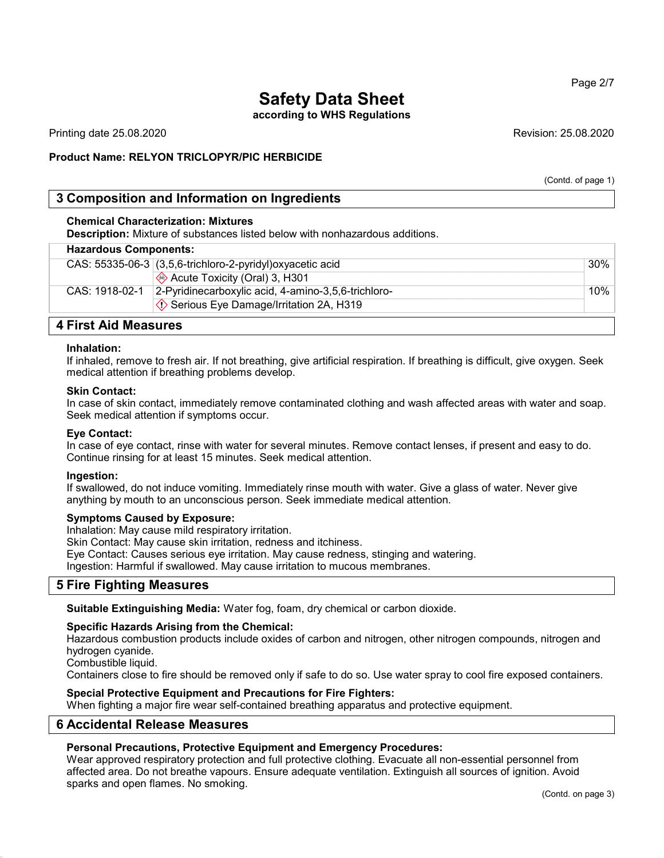according to WHS Regulations

Printing date 25.08.2020 Revision: 25.08.2020

### Product Name: **RELYON** TRICLOPYR/PIC HERBICIDE

(Contd. of page 1)

# 3 Composition and Information on Ingredients

### Chemical Characterization: Mixtures

Description: Mixture of substances listed below with nonhazardous additions.

| <b>Hazardous Components:</b> |                                                             |     |
|------------------------------|-------------------------------------------------------------|-----|
|                              | CAS: $55335-06-3$ (3,5,6-trichloro-2-pyridyl)oxyacetic acid | 30% |
|                              | Acute Toxicity (Oral) 3, H301                               |     |
| CAS: 1918-02-1               | 2-Pyridinecarboxylic acid, 4-amino-3,5,6-trichloro-         | 10% |
|                              | ♦ Serious Eye Damage/Irritation 2A, H319                    |     |
|                              |                                                             |     |

### 4 First Aid Measures

### Inhalation:

If inhaled, remove to fresh air. If not breathing, give artificial respiration. If breathing is difficult, give oxygen. Seek medical attention if breathing problems develop.

#### Skin Contact:

In case of skin contact, immediately remove contaminated clothing and wash affected areas with water and soap. Seek medical attention if symptoms occur.

### Eye Contact:

In case of eye contact, rinse with water for several minutes. Remove contact lenses, if present and easy to do. Continue rinsing for at least 15 minutes. Seek medical attention.

### Ingestion:

If swallowed, do not induce vomiting. Immediately rinse mouth with water. Give a glass of water. Never give anything by mouth to an unconscious person. Seek immediate medical attention.

### Symptoms Caused by Exposure:

Inhalation: May cause mild respiratory irritation.

Skin Contact: May cause skin irritation, redness and itchiness.

Eye Contact: Causes serious eye irritation. May cause redness, stinging and watering.

Ingestion: Harmful if swallowed. May cause irritation to mucous membranes.

# 5 Fire Fighting Measures

Suitable Extinguishing Media: Water fog, foam, dry chemical or carbon dioxide.

### Specific Hazards Arising from the Chemical:

Hazardous combustion products include oxides of carbon and nitrogen, other nitrogen compounds, nitrogen and hydrogen cyanide.

Combustible liquid.

Containers close to fire should be removed only if safe to do so. Use water spray to cool fire exposed containers.

### Special Protective Equipment and Precautions for Fire Fighters:

When fighting a major fire wear self-contained breathing apparatus and protective equipment.

# 6 Accidental Release Measures

### Personal Precautions, Protective Equipment and Emergency Procedures:

Wear approved respiratory protection and full protective clothing. Evacuate all non-essential personnel from affected area. Do not breathe vapours. Ensure adequate ventilation. Extinguish all sources of ignition. Avoid sparks and open flames. No smoking.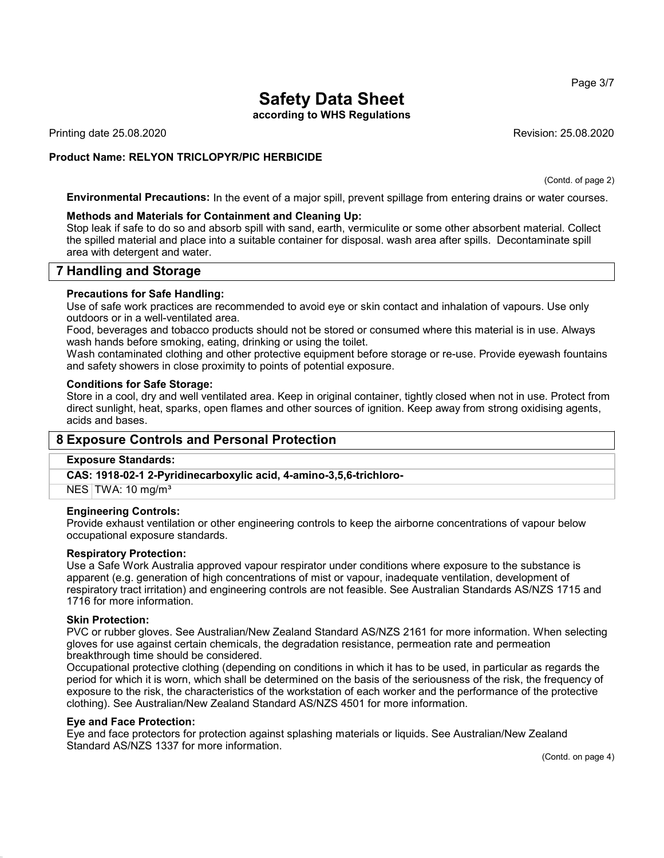according to WHS Regulations

Printing date 25.08.2020 Revision: 25.08.2020

# Product Name: **RELYON** TRICLOPYR/PIC HERBICIDE

(Contd. of page 2)

Environmental Precautions: In the event of a major spill, prevent spillage from entering drains or water courses.

### Methods and Materials for Containment and Cleaning Up:

Stop leak if safe to do so and absorb spill with sand, earth, vermiculite or some other absorbent material. Collect the spilled material and place into a suitable container for disposal. wash area after spills. Decontaminate spill area with detergent and water.

# 7 Handling and Storage

### Precautions for Safe Handling:

Use of safe work practices are recommended to avoid eye or skin contact and inhalation of vapours. Use only outdoors or in a well-ventilated area.

Food, beverages and tobacco products should not be stored or consumed where this material is in use. Always wash hands before smoking, eating, drinking or using the toilet.

Wash contaminated clothing and other protective equipment before storage or re-use. Provide eyewash fountains and safety showers in close proximity to points of potential exposure.

### Conditions for Safe Storage:

Store in a cool, dry and well ventilated area. Keep in original container, tightly closed when not in use. Protect from direct sunlight, heat, sparks, open flames and other sources of ignition. Keep away from strong oxidising agents, acids and bases.

# 8 Exposure Controls and Personal Protection

### Exposure Standards:

CAS: 1918-02-1 2-Pyridinecarboxylic acid, 4-amino-3,5,6-trichloro-

NES TWA: 10 mg/m<sup>3</sup>

### Engineering Controls:

Provide exhaust ventilation or other engineering controls to keep the airborne concentrations of vapour below occupational exposure standards.

### Respiratory Protection:

Use a Safe Work Australia approved vapour respirator under conditions where exposure to the substance is apparent (e.g. generation of high concentrations of mist or vapour, inadequate ventilation, development of respiratory tract irritation) and engineering controls are not feasible. See Australian Standards AS/NZS 1715 and 1716 for more information.

### Skin Protection:

PVC or rubber gloves. See Australian/New Zealand Standard AS/NZS 2161 for more information. When selecting gloves for use against certain chemicals, the degradation resistance, permeation rate and permeation breakthrough time should be considered.

Occupational protective clothing (depending on conditions in which it has to be used, in particular as regards the period for which it is worn, which shall be determined on the basis of the seriousness of the risk, the frequency of exposure to the risk, the characteristics of the workstation of each worker and the performance of the protective clothing). See Australian/New Zealand Standard AS/NZS 4501 for more information.

### Eye and Face Protection:

Eye and face protectors for protection against splashing materials or liquids. See Australian/New Zealand Standard AS/NZS 1337 for more information.

(Contd. on page 4)

Page 3/7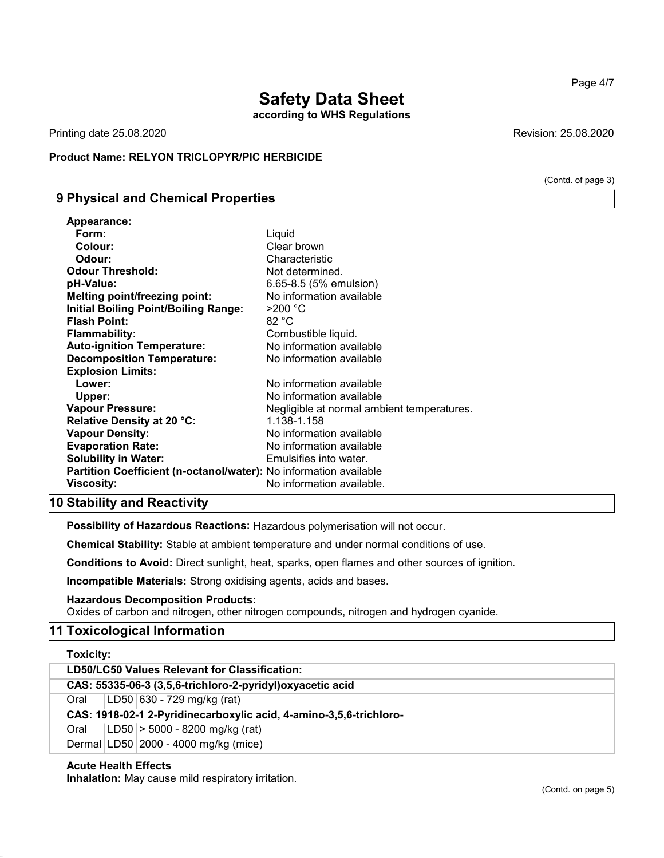according to WHS Regulations

Printing date 25.08.2020 **Revision: 25.08.2020** 

Appearance:

### Product Name: **RELYON** TRICLOPYR/PIC HERBICIDE

# 9 Physical and Chemical Properties

| Appearance:                                                       |                                            |
|-------------------------------------------------------------------|--------------------------------------------|
| Form:                                                             | Liquid                                     |
| Colour:                                                           | Clear brown                                |
| Odour:                                                            | Characteristic                             |
| <b>Odour Threshold:</b>                                           | Not determined.                            |
| pH-Value:                                                         | 6.65-8.5 (5% emulsion)                     |
| <b>Melting point/freezing point:</b>                              | No information available                   |
| <b>Initial Boiling Point/Boiling Range:</b>                       | $>$ 200 °C                                 |
| <b>Flash Point:</b>                                               | 82 °C                                      |
| <b>Flammability:</b>                                              | Combustible liquid.                        |
| <b>Auto-ignition Temperature:</b>                                 | No information available                   |
| <b>Decomposition Temperature:</b>                                 | No information available                   |
| <b>Explosion Limits:</b>                                          |                                            |
| Lower:                                                            | No information available                   |
| Upper:                                                            | No information available                   |
| <b>Vapour Pressure:</b>                                           | Negligible at normal ambient temperatures. |
| Relative Density at 20 °C:                                        | 1.138-1.158                                |
| <b>Vapour Density:</b>                                            | No information available                   |
| <b>Evaporation Rate:</b>                                          | No information available                   |
| <b>Solubility in Water:</b>                                       | Emulsifies into water.                     |
| Partition Coefficient (n-octanol/water): No information available |                                            |
| Viscosity:                                                        | No information available.                  |
|                                                                   |                                            |

# 10 Stability and Reactivity

Possibility of Hazardous Reactions: Hazardous polymerisation will not occur.

Chemical Stability: Stable at ambient temperature and under normal conditions of use.

Conditions to Avoid: Direct sunlight, heat, sparks, open flames and other sources of ignition.

Incompatible Materials: Strong oxidising agents, acids and bases.

Hazardous Decomposition Products: Oxides of carbon and nitrogen, other nitrogen compounds, nitrogen and hydrogen cyanide.

# 11 Toxicological Information

| Toxicity:                                                          |  |  |
|--------------------------------------------------------------------|--|--|
| LD50/LC50 Values Relevant for Classification:                      |  |  |
| CAS: 55335-06-3 (3,5,6-trichloro-2-pyridyl) oxyacetic acid         |  |  |
| LD50 630 - 729 mg/kg (rat)<br>Oral                                 |  |  |
| CAS: 1918-02-1 2-Pyridinecarboxylic acid, 4-amino-3,5,6-trichloro- |  |  |
| LD50 > 5000 - 8200 mg/kg (rat)<br>Oral                             |  |  |

Dermal LD50 2000 - 4000 mg/kg (mice)

# Acute Health Effects

Inhalation: May cause mild respiratory irritation.

(Contd. of page 3)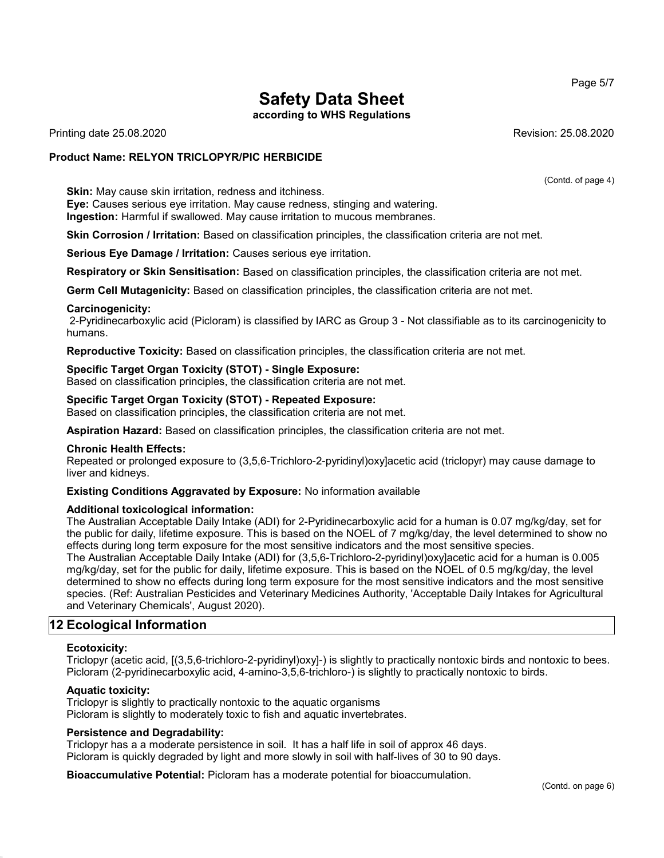according to WHS Regulations

Printing date 25.08.2020 Revision: 25.08.2020

### Product Name: **RELYON** TRICLOPYR/PIC HERBICIDE

Skin: May cause skin irritation, redness and itchiness. Eye: Causes serious eye irritation. May cause redness, stinging and watering. Ingestion: Harmful if swallowed. May cause irritation to mucous membranes.

Skin Corrosion / Irritation: Based on classification principles, the classification criteria are not met.

Serious Eye Damage / Irritation: Causes serious eye irritation.

Respiratory or Skin Sensitisation: Based on classification principles, the classification criteria are not met.

Germ Cell Mutagenicity: Based on classification principles, the classification criteria are not met.

### Carcinogenicity:

2-Pyridinecarboxylic acid (Picloram) is classified by IARC as Group 3 - Not classifiable as to its carcinogenicity to humans.

Reproductive Toxicity: Based on classification principles, the classification criteria are not met.

### Specific Target Organ Toxicity (STOT) - Single Exposure:

Based on classification principles, the classification criteria are not met.

### Specific Target Organ Toxicity (STOT) - Repeated Exposure:

Based on classification principles, the classification criteria are not met.

Aspiration Hazard: Based on classification principles, the classification criteria are not met.

### Chronic Health Effects:

Repeated or prolonged exposure to (3,5,6-Trichloro-2-pyridinyl)oxy]acetic acid (triclopyr) may cause damage to liver and kidneys.

### Existing Conditions Aggravated by Exposure: No information available

### Additional toxicological information:

The Australian Acceptable Daily Intake (ADI) for 2-Pyridinecarboxylic acid for a human is 0.07 mg/kg/day, set for the public for daily, lifetime exposure. This is based on the NOEL of 7 mg/kg/day, the level determined to show no effects during long term exposure for the most sensitive indicators and the most sensitive species. The Australian Acceptable Daily Intake (ADI) for (3,5,6-Trichloro-2-pyridinyl)oxy]acetic acid for a human is 0.005 mg/kg/day, set for the public for daily, lifetime exposure. This is based on the NOEL of 0.5 mg/kg/day, the level determined to show no effects during long term exposure for the most sensitive indicators and the most sensitive species. (Ref: Australian Pesticides and Veterinary Medicines Authority, 'Acceptable Daily Intakes for Agricultural and Veterinary Chemicals', August 2020).

# 12 Ecological Information

### Ecotoxicity:

Triclopyr (acetic acid, [(3,5,6-trichloro-2-pyridinyl)oxy]-) is slightly to practically nontoxic birds and nontoxic to bees. Picloram (2-pyridinecarboxylic acid, 4-amino-3,5,6-trichloro-) is slightly to practically nontoxic to birds.

### Aquatic toxicity:

Triclopyr is slightly to practically nontoxic to the aquatic organisms Picloram is slightly to moderately toxic to fish and aquatic invertebrates.

### Persistence and Degradability:

Triclopyr has a a moderate persistence in soil. It has a half life in soil of approx 46 days. Picloram is quickly degraded by light and more slowly in soil with half-lives of 30 to 90 days.

Bioaccumulative Potential: Picloram has a moderate potential for bioaccumulation.

Page 5/7

(Contd. of page 4)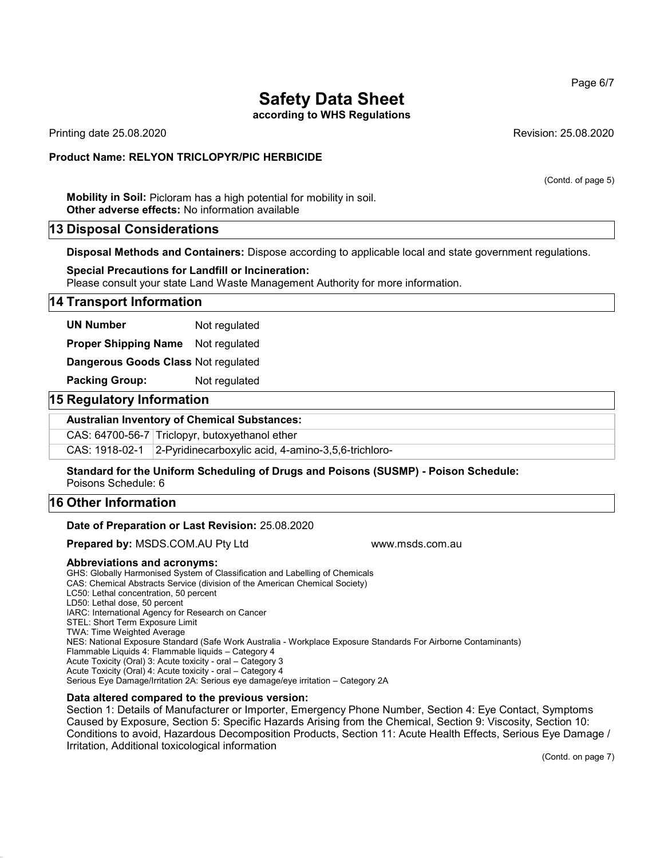according to WHS Regulations

Printing date 25.08.2020 Revision: 25.08.2020

### Product Name: **RELYON** TRICLOPYR/PIC HERBICIDE

(Contd. of page 5)

Mobility in Soil: Picloram has a high potential for mobility in soil. Other adverse effects: No information available

### 13 Disposal Considerations

Disposal Methods and Containers: Dispose according to applicable local and state government regulations.

Special Precautions for Landfill or Incineration: Please consult your state Land Waste Management Authority for more information.

### 14 Transport Information

UN Number Not regulated

Proper Shipping Name Not regulated

Dangerous Goods Class Not regulated

Packing Group: Not regulated

### 15 Regulatory Information

### Australian Inventory of Chemical Substances:

CAS: 64700-56-7 Triclopyr, butoxyethanol ether

CAS: 1918-02-1 2-Pyridinecarboxylic acid, 4-amino-3,5,6-trichloro-

Standard for the Uniform Scheduling of Drugs and Poisons (SUSMP) - Poison Schedule: Poisons Schedule: 6

# 16 Other Information

### Date of Preparation or Last Revision: 25.08.2020

**Prepared by: MSDS.COM.AU Pty Ltd www.msds.com.au compared by: MSDS.COM.AU Pty Ltd** 

### Abbreviations and acronyms:

GHS: Globally Harmonised System of Classification and Labelling of Chemicals CAS: Chemical Abstracts Service (division of the American Chemical Society) LC50: Lethal concentration, 50 percent LD50: Lethal dose, 50 percent IARC: International Agency for Research on Cancer STEL: Short Term Exposure Limit TWA: Time Weighted Average NES: National Exposure Standard (Safe Work Australia - Workplace Exposure Standards For Airborne Contaminants) Flammable Liquids 4: Flammable liquids – Category 4 Acute Toxicity (Oral) 3: Acute toxicity - oral – Category 3 Acute Toxicity (Oral) 4: Acute toxicity - oral – Category 4 Serious Eye Damage/Irritation 2A: Serious eye damage/eye irritation – Category 2A

### Data altered compared to the previous version:

Section 1: Details of Manufacturer or Importer, Emergency Phone Number, Section 4: Eye Contact, Symptoms Caused by Exposure, Section 5: Specific Hazards Arising from the Chemical, Section 9: Viscosity, Section 10: Conditions to avoid, Hazardous Decomposition Products, Section 11: Acute Health Effects, Serious Eye Damage / Irritation, Additional toxicological information

(Contd. on page 7)

Page 6/7